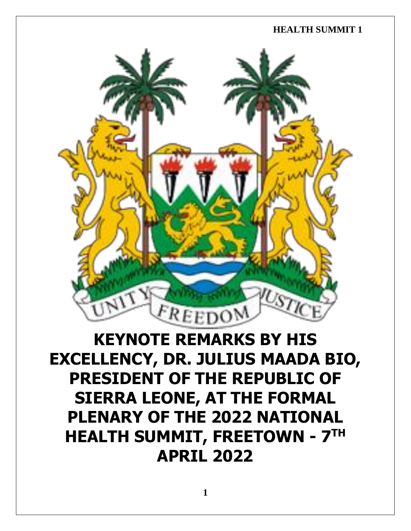

# **KEYNOTE REMARKS BY HIS EXCELLENCY, DR. JULIUS MAADA BIO, PRESIDENT OF THE REPUBLIC OF SIERRA LEONE, AT THE FORMAL PLENARY OF THE 2022 NATIONAL HEALTH SUMMIT, FREETOWN - 7 TH APRIL 2022**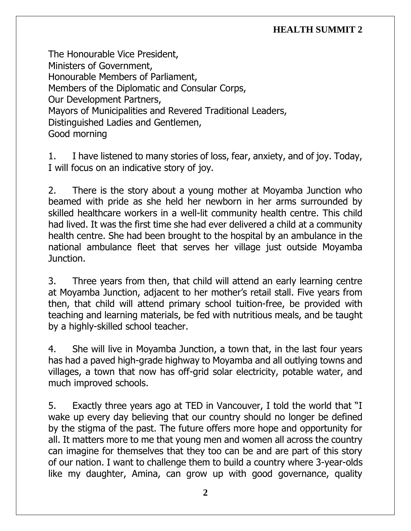The Honourable Vice President, Ministers of Government, Honourable Members of Parliament, Members of the Diplomatic and Consular Corps, Our Development Partners, Mayors of Municipalities and Revered Traditional Leaders, Distinguished Ladies and Gentlemen, Good morning

1. I have listened to many stories of loss, fear, anxiety, and of joy. Today, I will focus on an indicative story of joy.

2. There is the story about a young mother at Moyamba Junction who beamed with pride as she held her newborn in her arms surrounded by skilled healthcare workers in a well-lit community health centre. This child had lived. It was the first time she had ever delivered a child at a community health centre. She had been brought to the hospital by an ambulance in the national ambulance fleet that serves her village just outside Moyamba Junction.

3. Three years from then, that child will attend an early learning centre at Moyamba Junction, adjacent to her mother's retail stall. Five years from then, that child will attend primary school tuition-free, be provided with teaching and learning materials, be fed with nutritious meals, and be taught by a highly-skilled school teacher.

4. She will live in Moyamba Junction, a town that, in the last four years has had a paved high-grade highway to Moyamba and all outlying towns and villages, a town that now has off-grid solar electricity, potable water, and much improved schools.

5. Exactly three years ago at TED in Vancouver, I told the world that "I wake up every day believing that our country should no longer be defined by the stigma of the past. The future offers more hope and opportunity for all. It matters more to me that young men and women all across the country can imagine for themselves that they too can be and are part of this story of our nation. I want to challenge them to build a country where 3-year-olds like my daughter, Amina, can grow up with good governance, quality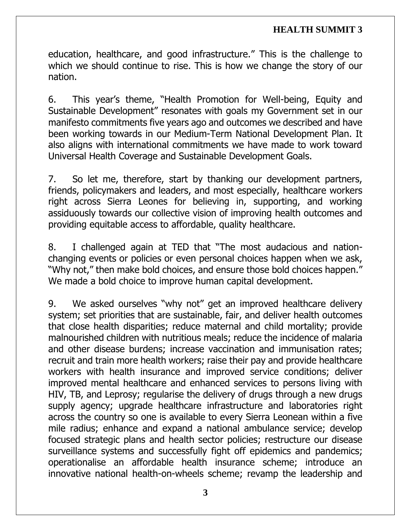education, healthcare, and good infrastructure." This is the challenge to which we should continue to rise. This is how we change the story of our nation.

6. This year's theme, "Health Promotion for Well-being, Equity and Sustainable Development" resonates with goals my Government set in our manifesto commitments five years ago and outcomes we described and have been working towards in our Medium-Term National Development Plan. It also aligns with international commitments we have made to work toward Universal Health Coverage and Sustainable Development Goals.

7. So let me, therefore, start by thanking our development partners, friends, policymakers and leaders, and most especially, healthcare workers right across Sierra Leones for believing in, supporting, and working assiduously towards our collective vision of improving health outcomes and providing equitable access to affordable, quality healthcare.

8. I challenged again at TED that "The most audacious and nationchanging events or policies or even personal choices happen when we ask, "Why not," then make bold choices, and ensure those bold choices happen." We made a bold choice to improve human capital development.

9. We asked ourselves "why not" get an improved healthcare delivery system; set priorities that are sustainable, fair, and deliver health outcomes that close health disparities; reduce maternal and child mortality; provide malnourished children with nutritious meals; reduce the incidence of malaria and other disease burdens; increase vaccination and immunisation rates; recruit and train more health workers; raise their pay and provide healthcare workers with health insurance and improved service conditions; deliver improved mental healthcare and enhanced services to persons living with HIV, TB, and Leprosy; regularise the delivery of drugs through a new drugs supply agency; upgrade healthcare infrastructure and laboratories right across the country so one is available to every Sierra Leonean within a five mile radius; enhance and expand a national ambulance service; develop focused strategic plans and health sector policies; restructure our disease surveillance systems and successfully fight off epidemics and pandemics; operationalise an affordable health insurance scheme; introduce an innovative national health-on-wheels scheme; revamp the leadership and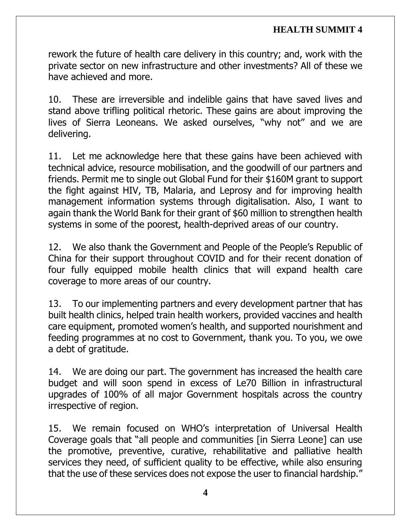rework the future of health care delivery in this country; and, work with the private sector on new infrastructure and other investments? All of these we have achieved and more.

10. These are irreversible and indelible gains that have saved lives and stand above trifling political rhetoric. These gains are about improving the lives of Sierra Leoneans. We asked ourselves, "why not" and we are delivering.

11. Let me acknowledge here that these gains have been achieved with technical advice, resource mobilisation, and the goodwill of our partners and friends. Permit me to single out Global Fund for their \$160M grant to support the fight against HIV, TB, Malaria, and Leprosy and for improving health management information systems through digitalisation. Also, I want to again thank the World Bank for their grant of \$60 million to strengthen health systems in some of the poorest, health-deprived areas of our country.

12. We also thank the Government and People of the People's Republic of China for their support throughout COVID and for their recent donation of four fully equipped mobile health clinics that will expand health care coverage to more areas of our country.

13. To our implementing partners and every development partner that has built health clinics, helped train health workers, provided vaccines and health care equipment, promoted women's health, and supported nourishment and feeding programmes at no cost to Government, thank you. To you, we owe a debt of gratitude.

14. We are doing our part. The government has increased the health care budget and will soon spend in excess of Le70 Billion in infrastructural upgrades of 100% of all major Government hospitals across the country irrespective of region.

15. We remain focused on WHO's interpretation of Universal Health Coverage goals that "all people and communities [in Sierra Leone] can use the promotive, preventive, curative, rehabilitative and palliative health services they need, of sufficient quality to be effective, while also ensuring that the use of these services does not expose the user to financial hardship."